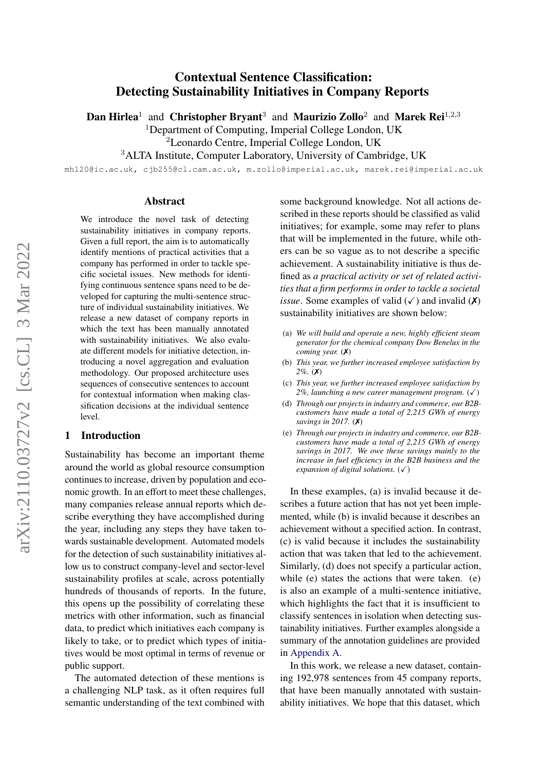# Contextual Sentence Classification: Detecting Sustainability Initiatives in Company Reports

Dan Hirlea<sup>1</sup> and Christopher Bryant<sup>3</sup> and Maurizio Zollo<sup>2</sup> and Marek Rei<sup>1,2,3</sup>

<sup>1</sup>Department of Computing, Imperial College London, UK

<sup>2</sup>Leonardo Centre, Imperial College London, UK

<sup>3</sup>ALTA Institute, Computer Laboratory, University of Cambridge, UK

mh120@ic.ac.uk, cjb255@cl.cam.ac.uk, m.zollo@imperial.ac.uk, marek.rei@imperial.ac.uk

#### Abstract

We introduce the novel task of detecting sustainability initiatives in company reports. Given a full report, the aim is to automatically identify mentions of practical activities that a company has performed in order to tackle specific societal issues. New methods for identifying continuous sentence spans need to be developed for capturing the multi-sentence structure of individual sustainability initiatives. We release a new dataset of company reports in which the text has been manually annotated with sustainability initiatives. We also evaluate different models for initiative detection, introducing a novel aggregation and evaluation methodology. Our proposed architecture uses sequences of consecutive sentences to account for contextual information when making classification decisions at the individual sentence level.

#### 1 Introduction

Sustainability has become an important theme around the world as global resource consumption continues to increase, driven by population and economic growth. In an effort to meet these challenges, many companies release annual reports which describe everything they have accomplished during the year, including any steps they have taken towards sustainable development. Automated models for the detection of such sustainability initiatives allow us to construct company-level and sector-level sustainability profiles at scale, across potentially hundreds of thousands of reports. In the future, this opens up the possibility of correlating these metrics with other information, such as financial data, to predict which initiatives each company is likely to take, or to predict which types of initiatives would be most optimal in terms of revenue or public support.

The automated detection of these mentions is a challenging NLP task, as it often requires full semantic understanding of the text combined with some background knowledge. Not all actions described in these reports should be classified as valid initiatives; for example, some may refer to plans that will be implemented in the future, while others can be so vague as to not describe a specific achievement. A sustainability initiative is thus defined as *a practical activity or set of related activities that a firm performs in order to tackle a societal issue*. Some examples of valid  $(\checkmark)$  and invalid  $(\checkmark)$ sustainability initiatives are shown below:

- (a) *We will build and operate a new, highly efficient steam generator for the chemical company Dow Benelux in the coming year.* (✗)
- (b) *This year, we further increased employee satisfaction by 2%.* (✗)
- (c) *This year, we further increased employee satisfaction by*  $2\%$ , launching a new career management program.  $(\checkmark)$
- (d) *Through our projects in industry and commerce, our B2Bcustomers have made a total of 2,215 GWh of energy savings in 2017.* (✗)
- (e) *Through our projects in industry and commerce, our B2Bcustomers have made a total of 2,215 GWh of energy savings in 2017. We owe these savings mainly to the increase in fuel efficiency in the B2B business and the expansion of digital solutions.*  $(\checkmark)$

In these examples, (a) is invalid because it describes a future action that has not yet been implemented, while (b) is invalid because it describes an achievement without a specified action. In contrast, (c) is valid because it includes the sustainability action that was taken that led to the achievement. Similarly, (d) does not specify a particular action, while (e) states the actions that were taken. (e) is also an example of a multi-sentence initiative, which highlights the fact that it is insufficient to classify sentences in isolation when detecting sustainability initiatives. Further examples alongside a summary of the annotation guidelines are provided in [Appendix A.](#page-10-0)

In this work, we release a new dataset, containing 192,978 sentences from 45 company reports, that have been manually annotated with sustainability initiatives. We hope that this dataset, which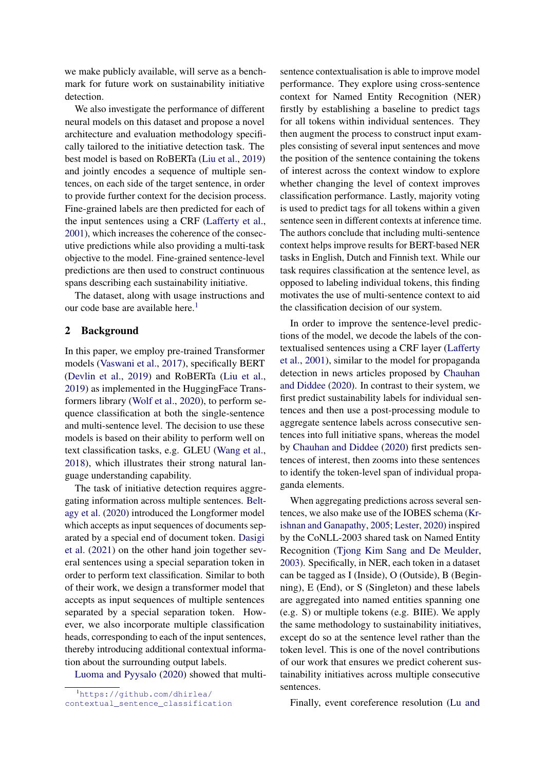we make publicly available, will serve as a benchmark for future work on sustainability initiative detection.

We also investigate the performance of different neural models on this dataset and propose a novel architecture and evaluation methodology specifically tailored to the initiative detection task. The best model is based on RoBERTa [\(Liu et al.,](#page-8-0) [2019\)](#page-8-0) and jointly encodes a sequence of multiple sentences, on each side of the target sentence, in order to provide further context for the decision process. Fine-grained labels are then predicted for each of the input sentences using a CRF [\(Lafferty et al.,](#page-8-1) [2001\)](#page-8-1), which increases the coherence of the consecutive predictions while also providing a multi-task objective to the model. Fine-grained sentence-level predictions are then used to construct continuous spans describing each sustainability initiative.

The dataset, along with usage instructions and our code base are available here.<sup>[1](#page-1-0)</sup>

#### 2 Background

In this paper, we employ pre-trained Transformer models [\(Vaswani et al.,](#page-8-2) [2017\)](#page-8-2), specifically BERT [\(Devlin et al.,](#page-8-3) [2019\)](#page-8-3) and RoBERTa [\(Liu et al.,](#page-8-0) [2019\)](#page-8-0) as implemented in the HuggingFace Transformers library [\(Wolf et al.,](#page-8-4) [2020\)](#page-8-4), to perform sequence classification at both the single-sentence and multi-sentence level. The decision to use these models is based on their ability to perform well on text classification tasks, e.g. GLEU [\(Wang et al.,](#page-8-5) [2018\)](#page-8-5), which illustrates their strong natural language understanding capability.

The task of initiative detection requires aggregating information across multiple sentences. [Belt](#page-8-6)[agy et al.](#page-8-6) [\(2020\)](#page-8-6) introduced the Longformer model which accepts as input sequences of documents separated by a special end of document token. [Dasigi](#page-8-7) [et al.](#page-8-7) [\(2021\)](#page-8-7) on the other hand join together several sentences using a special separation token in order to perform text classification. Similar to both of their work, we design a transformer model that accepts as input sequences of multiple sentences separated by a special separation token. However, we also incorporate multiple classification heads, corresponding to each of the input sentences, thereby introducing additional contextual information about the surrounding output labels.

[Luoma and Pyysalo](#page-8-8) [\(2020\)](#page-8-8) showed that multi-

sentence contextualisation is able to improve model performance. They explore using cross-sentence context for Named Entity Recognition (NER) firstly by establishing a baseline to predict tags for all tokens within individual sentences. They then augment the process to construct input examples consisting of several input sentences and move the position of the sentence containing the tokens of interest across the context window to explore whether changing the level of context improves classification performance. Lastly, majority voting is used to predict tags for all tokens within a given sentence seen in different contexts at inference time. The authors conclude that including multi-sentence context helps improve results for BERT-based NER tasks in English, Dutch and Finnish text. While our task requires classification at the sentence level, as opposed to labeling individual tokens, this finding motivates the use of multi-sentence context to aid the classification decision of our system.

In order to improve the sentence-level predictions of the model, we decode the labels of the contextualised sentences using a CRF layer [\(Lafferty](#page-8-1) [et al.,](#page-8-1) [2001\)](#page-8-1), similar to the model for propaganda detection in news articles proposed by [Chauhan](#page-8-9) [and Diddee](#page-8-9) [\(2020\)](#page-8-9). In contrast to their system, we first predict sustainability labels for individual sentences and then use a post-processing module to aggregate sentence labels across consecutive sentences into full initiative spans, whereas the model by [Chauhan and Diddee](#page-8-9) [\(2020\)](#page-8-9) first predicts sentences of interest, then zooms into these sentences to identify the token-level span of individual propaganda elements.

When aggregating predictions across several sentences, we also make use of the IOBES schema [\(Kr](#page-8-10)[ishnan and Ganapathy,](#page-8-10) [2005;](#page-8-10) [Lester,](#page-8-11) [2020\)](#page-8-11) inspired by the CoNLL-2003 shared task on Named Entity Recognition [\(Tjong Kim Sang and De Meulder,](#page-8-12) [2003\)](#page-8-12). Specifically, in NER, each token in a dataset can be tagged as I (Inside), O (Outside), B (Beginning), E (End), or S (Singleton) and these labels are aggregated into named entities spanning one (e.g. S) or multiple tokens (e.g. BIIE). We apply the same methodology to sustainability initiatives, except do so at the sentence level rather than the token level. This is one of the novel contributions of our work that ensures we predict coherent sustainability initiatives across multiple consecutive sentences.

Finally, event coreference resolution [\(Lu and](#page-8-13)

<span id="page-1-0"></span><sup>1</sup>[https://github.com/dhirlea/](https://github.com/dhirlea/contextual_sentence_classification) [contextual\\_sentence\\_classification](https://github.com/dhirlea/contextual_sentence_classification)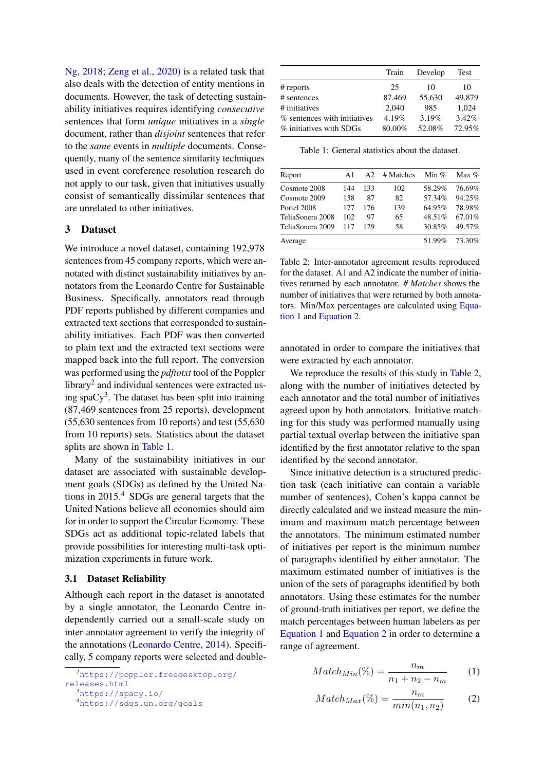[Ng,](#page-8-13) [2018;](#page-8-13) [Zeng et al.,](#page-8-14) [2020\)](#page-8-14) is a related task that also deals with the detection of entity mentions in documents. However, the task of detecting sustainability initiatives requires identifying *consecutive* sentences that form *unique* initiatives in a *single* document, rather than *disjoint* sentences that refer to the *same* events in *multiple* documents. Consequently, many of the sentence similarity techniques used in event coreference resolution research do not apply to our task, given that initiatives usually consist of semantically dissimilar sentences that are unrelated to other initiatives.

### <span id="page-2-7"></span>3 Dataset

We introduce a novel dataset, containing 192,978 sentences from 45 company reports, which were annotated with distinct sustainability initiatives by annotators from the Leonardo Centre for Sustainable Business. Specifically, annotators read through PDF reports published by different companies and extracted text sections that corresponded to sustainability initiatives. Each PDF was then converted to plain text and the extracted text sections were mapped back into the full report. The conversion was performed using the *pdftotxt* tool of the Poppler library<sup>[2](#page-2-0)</sup> and individual sentences were extracted using spa $Cy^3$  $Cy^3$ . The dataset has been split into training (87,469 sentences from 25 reports), development (55,630 sentences from 10 reports) and test (55,630 from 10 reports) sets. Statistics about the dataset splits are shown in [Table 1.](#page-2-2)

Many of the sustainability initiatives in our dataset are associated with sustainable development goals (SDGs) as defined by the United Nations in 2015.[4](#page-2-3) SDGs are general targets that the United Nations believe all economies should aim for in order to support the Circular Economy. These SDGs act as additional topic-related labels that provide possibilities for interesting multi-task optimization experiments in future work.

### 3.1 Dataset Reliability

Although each report in the dataset is annotated by a single annotator, the Leonardo Centre independently carried out a small-scale study on inter-annotator agreement to verify the integrity of the annotations [\(Leonardo Centre,](#page-8-15) [2014\)](#page-8-15). Specifically, 5 company reports were selected and double-

<span id="page-2-0"></span><sup>2</sup>[https://poppler.freedesktop.org/](https://poppler.freedesktop.org/releases.html) [releases.html](https://poppler.freedesktop.org/releases.html) <sup>3</sup><https://spacy.io/>

<span id="page-2-2"></span>

|                              | Train  | Develop | Test   |
|------------------------------|--------|---------|--------|
| $#$ reports                  | 25     | 10      | 10     |
| # sentences                  | 87,469 | 55,630  | 49,879 |
| # initiatives                | 2.040  | 985     | 1.024  |
| % sentences with initiatives | 4.19%  | 3.19%   | 3.42%  |
| % initiatives with SDGs      | 80.00% | 52.08%  | 72.95% |

Table 1: General statistics about the dataset.

<span id="page-2-6"></span>

| Report           | A1  | A2  | # Matches | Min $%$ | $Max\%$ |
|------------------|-----|-----|-----------|---------|---------|
| Cosmote 2008     | 144 | 133 | 102       | 58.29%  | 76.69%  |
| Cosmote 2009     | 138 | 87  | 82        | 57.34%  | 94.25%  |
| Portel 2008      | 177 | 176 | 139       | 64.95%  | 78.98%  |
| TeliaSonera 2008 | 102 | 97  | 65        | 48.51%  | 67.01%  |
| TeliaSonera 2009 | 117 | 129 | 58        | 30.85%  | 49.57%  |
| Average          |     |     |           | 51.99%  | 73.30%  |
|                  |     |     |           |         |         |

Table 2: Inter-annotator agreement results reproduced for the dataset. A1 and A2 indicate the number of initiatives returned by each annotator. *# Matches* shows the number of initiatives that were returned by both annotators. Min/Max percentages are calculated using [Equa](#page-2-4)[tion 1](#page-2-4) and [Equation 2.](#page-2-5)

annotated in order to compare the initiatives that were extracted by each annotator.

We reproduce the results of this study in [Table 2,](#page-2-6) along with the number of initiatives detected by each annotator and the total number of initiatives agreed upon by both annotators. Initiative matching for this study was performed manually using partial textual overlap between the initiative span identified by the first annotator relative to the span identified by the second annotator.

Since initiative detection is a structured prediction task (each initiative can contain a variable number of sentences), Cohen's kappa cannot be directly calculated and we instead measure the minimum and maximum match percentage between the annotators. The minimum estimated number of initiatives per report is the minimum number of paragraphs identified by either annotator. The maximum estimated number of initiatives is the union of the sets of paragraphs identified by both annotators. Using these estimates for the number of ground-truth initiatives per report, we define the match percentages between human labelers as per [Equation 1](#page-2-4) and [Equation 2](#page-2-5) in order to determine a range of agreement.

<span id="page-2-4"></span>
$$
Match_{Min}(\%) = \frac{n_m}{n_1 + n_2 - n_m} \tag{1}
$$

<span id="page-2-5"></span>
$$
Match_{Max}(\%) = \frac{n_m}{min(n_1, n_2)}
$$
 (2)

<span id="page-2-3"></span><span id="page-2-1"></span><sup>4</sup><https://sdgs.un.org/goals>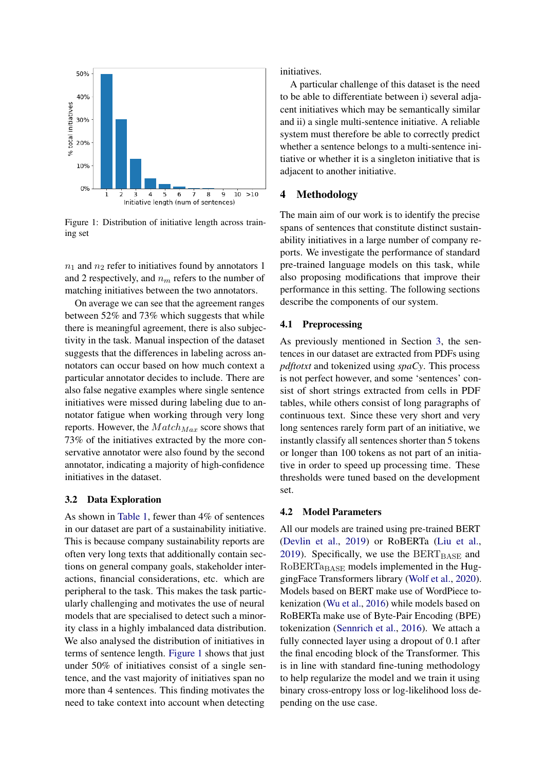<span id="page-3-0"></span>

Figure 1: Distribution of initiative length across training set

 $n_1$  and  $n_2$  refer to initiatives found by annotators 1 and 2 respectively, and  $n_m$  refers to the number of matching initiatives between the two annotators.

On average we can see that the agreement ranges between 52% and 73% which suggests that while there is meaningful agreement, there is also subjectivity in the task. Manual inspection of the dataset suggests that the differences in labeling across annotators can occur based on how much context a particular annotator decides to include. There are also false negative examples where single sentence initiatives were missed during labeling due to annotator fatigue when working through very long reports. However, the  $Match_{Max}$  score shows that 73% of the initiatives extracted by the more conservative annotator were also found by the second annotator, indicating a majority of high-confidence initiatives in the dataset.

## 3.2 Data Exploration

As shown in [Table 1,](#page-2-2) fewer than 4% of sentences in our dataset are part of a sustainability initiative. This is because company sustainability reports are often very long texts that additionally contain sections on general company goals, stakeholder interactions, financial considerations, etc. which are peripheral to the task. This makes the task particularly challenging and motivates the use of neural models that are specialised to detect such a minority class in a highly imbalanced data distribution. We also analysed the distribution of initiatives in terms of sentence length. [Figure 1](#page-3-0) shows that just under 50% of initiatives consist of a single sentence, and the vast majority of initiatives span no more than 4 sentences. This finding motivates the need to take context into account when detecting

initiatives.

A particular challenge of this dataset is the need to be able to differentiate between i) several adjacent initiatives which may be semantically similar and ii) a single multi-sentence initiative. A reliable system must therefore be able to correctly predict whether a sentence belongs to a multi-sentence initiative or whether it is a singleton initiative that is adjacent to another initiative.

## 4 Methodology

The main aim of our work is to identify the precise spans of sentences that constitute distinct sustainability initiatives in a large number of company reports. We investigate the performance of standard pre-trained language models on this task, while also proposing modifications that improve their performance in this setting. The following sections describe the components of our system.

#### 4.1 Preprocessing

As previously mentioned in Section [3,](#page-2-7) the sentences in our dataset are extracted from PDFs using *pdftotxt* and tokenized using *spaCy*. This process is not perfect however, and some 'sentences' consist of short strings extracted from cells in PDF tables, while others consist of long paragraphs of continuous text. Since these very short and very long sentences rarely form part of an initiative, we instantly classify all sentences shorter than 5 tokens or longer than 100 tokens as not part of an initiative in order to speed up processing time. These thresholds were tuned based on the development set.

#### 4.2 Model Parameters

All our models are trained using pre-trained BERT [\(Devlin et al.,](#page-8-3) [2019\)](#page-8-3) or RoBERTa [\(Liu et al.,](#page-8-0) [2019\)](#page-8-0). Specifically, we use the  $BERT_{BASE}$  and  $RoBERTa<sub>BASE</sub>$  models implemented in the HuggingFace Transformers library [\(Wolf et al.,](#page-8-4) [2020\)](#page-8-4). Models based on BERT make use of WordPiece tokenization [\(Wu et al.,](#page-8-16) [2016\)](#page-8-16) while models based on RoBERTa make use of Byte-Pair Encoding (BPE) tokenization [\(Sennrich et al.,](#page-8-17) [2016\)](#page-8-17). We attach a fully connected layer using a dropout of 0.1 after the final encoding block of the Transformer. This is in line with standard fine-tuning methodology to help regularize the model and we train it using binary cross-entropy loss or log-likelihood loss depending on the use case.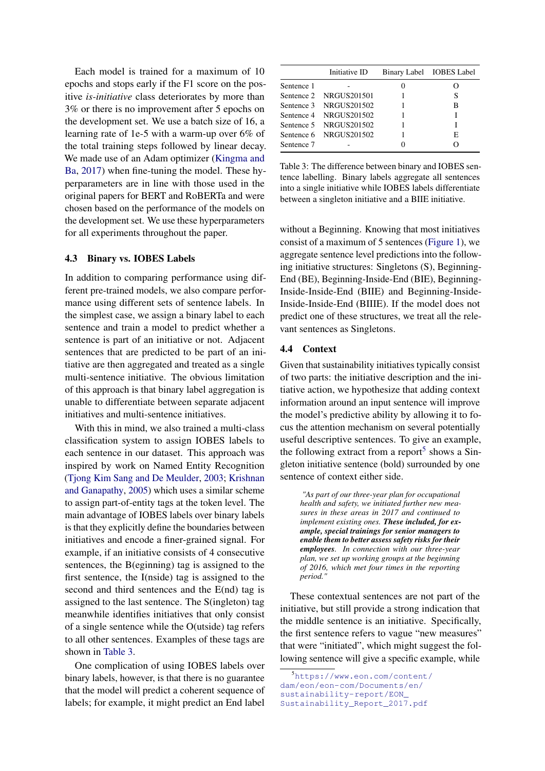Each model is trained for a maximum of 10 epochs and stops early if the F1 score on the positive *is-initiative* class deteriorates by more than 3% or there is no improvement after 5 epochs on the development set. We use a batch size of 16, a learning rate of 1e-5 with a warm-up over 6% of the total training steps followed by linear decay. We made use of an Adam optimizer [\(Kingma and](#page-8-18) [Ba,](#page-8-18) [2017\)](#page-8-18) when fine-tuning the model. These hyperparameters are in line with those used in the original papers for BERT and RoBERTa and were chosen based on the performance of the models on the development set. We use these hyperparameters for all experiments throughout the paper.

#### 4.3 Binary vs. IOBES Labels

In addition to comparing performance using different pre-trained models, we also compare performance using different sets of sentence labels. In the simplest case, we assign a binary label to each sentence and train a model to predict whether a sentence is part of an initiative or not. Adjacent sentences that are predicted to be part of an initiative are then aggregated and treated as a single multi-sentence initiative. The obvious limitation of this approach is that binary label aggregation is unable to differentiate between separate adjacent initiatives and multi-sentence initiatives.

With this in mind, we also trained a multi-class classification system to assign IOBES labels to each sentence in our dataset. This approach was inspired by work on Named Entity Recognition [\(Tjong Kim Sang and De Meulder,](#page-8-12) [2003;](#page-8-12) [Krishnan](#page-8-10) [and Ganapathy,](#page-8-10) [2005\)](#page-8-10) which uses a similar scheme to assign part-of-entity tags at the token level. The main advantage of IOBES labels over binary labels is that they explicitly define the boundaries between initiatives and encode a finer-grained signal. For example, if an initiative consists of 4 consecutive sentences, the B(eginning) tag is assigned to the first sentence, the I(nside) tag is assigned to the second and third sentences and the E(nd) tag is assigned to the last sentence. The S(ingleton) tag meanwhile identifies initiatives that only consist of a single sentence while the O(utside) tag refers to all other sentences. Examples of these tags are shown in [Table 3.](#page-4-0)

One complication of using IOBES labels over binary labels, however, is that there is no guarantee that the model will predict a coherent sequence of labels; for example, it might predict an End label

<span id="page-4-0"></span>

|            | Initiative ID          | Binary Label IOBES Label |
|------------|------------------------|--------------------------|
| Sentence 1 |                        |                          |
|            | Sentence 2 NRGUS201501 | S                        |
|            | Sentence 3 NRGUS201502 | в                        |
|            | Sentence 4 NRGUS201502 |                          |
|            | Sentence 5 NRGUS201502 |                          |
|            | Sentence 6 NRGUS201502 | E                        |
| Sentence 7 |                        |                          |

Table 3: The difference between binary and IOBES sentence labelling. Binary labels aggregate all sentences into a single initiative while IOBES labels differentiate between a singleton initiative and a BIIE initiative.

without a Beginning. Knowing that most initiatives consist of a maximum of 5 sentences [\(Figure 1\)](#page-3-0), we aggregate sentence level predictions into the following initiative structures: Singletons (S), Beginning-End (BE), Beginning-Inside-End (BIE), Beginning-Inside-Inside-End (BIIE) and Beginning-Inside-Inside-Inside-End (BIIIE). If the model does not predict one of these structures, we treat all the relevant sentences as Singletons.

#### 4.4 Context

Given that sustainability initiatives typically consist of two parts: the initiative description and the initiative action, we hypothesize that adding context information around an input sentence will improve the model's predictive ability by allowing it to focus the attention mechanism on several potentially useful descriptive sentences. To give an example, the following extract from a report<sup>[5](#page-4-1)</sup> shows a Singleton initiative sentence (bold) surrounded by one sentence of context either side.

*"As part of our three-year plan for occupational health and safety, we initiated further new measures in these areas in 2017 and continued to implement existing ones. These included, for example, special trainings for senior managers to enable them to better assess safety risks for their employees. In connection with our three-year plan, we set up working groups at the beginning of 2016, which met four times in the reporting period."*

These contextual sentences are not part of the initiative, but still provide a strong indication that the middle sentence is an initiative. Specifically, the first sentence refers to vague "new measures" that were "initiated", which might suggest the following sentence will give a specific example, while

<span id="page-4-1"></span><sup>5</sup>[https://www.eon.com/content/](https://www.eon.com/content/dam/eon/eon-com/Documents/en/sustainability-report/EON_Sustainability_Report_2017.pdf) [dam/eon/eon-com/Documents/en/](https://www.eon.com/content/dam/eon/eon-com/Documents/en/sustainability-report/EON_Sustainability_Report_2017.pdf) [sustainability-report/EON\\_](https://www.eon.com/content/dam/eon/eon-com/Documents/en/sustainability-report/EON_Sustainability_Report_2017.pdf) [Sustainability\\_Report\\_2017.pdf](https://www.eon.com/content/dam/eon/eon-com/Documents/en/sustainability-report/EON_Sustainability_Report_2017.pdf)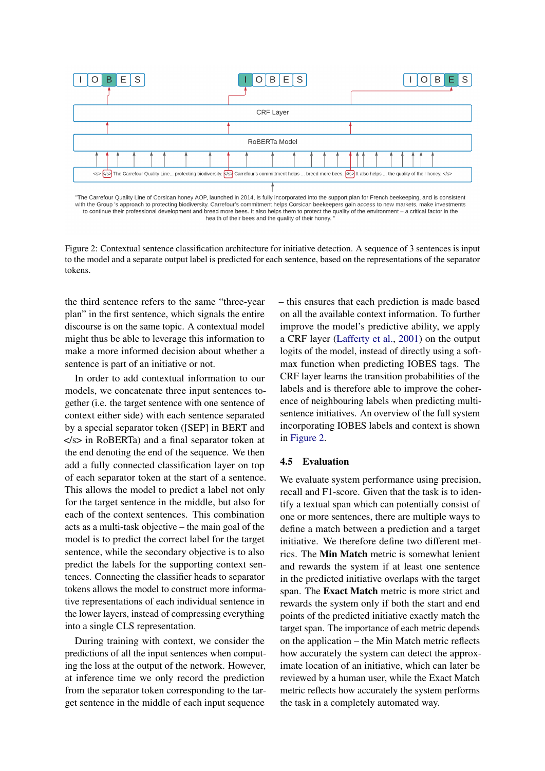<span id="page-5-0"></span>

"The Carrefour Quality Line of Corsican honey AOP, launched in 2014, is fully incorporated into the support plan for French beekeeping, and is consistent with the Group 's approach to protecting biodiversity. Carrefour's commitment helps Corsican beekeepers gain access to new markets, make investments to continue their professional development and breed more bees. It also helps them to protect the quality of the environment - a critical factor in the health of their bees and the quality of their honey.

Figure 2: Contextual sentence classification architecture for initiative detection. A sequence of 3 sentences is input to the model and a separate output label is predicted for each sentence, based on the representations of the separator tokens.

the third sentence refers to the same "three-year plan" in the first sentence, which signals the entire discourse is on the same topic. A contextual model might thus be able to leverage this information to make a more informed decision about whether a sentence is part of an initiative or not.

In order to add contextual information to our models, we concatenate three input sentences together (i.e. the target sentence with one sentence of context either side) with each sentence separated by a special separator token ([SEP] in BERT and </s> in RoBERTa) and a final separator token at the end denoting the end of the sequence. We then add a fully connected classification layer on top of each separator token at the start of a sentence. This allows the model to predict a label not only for the target sentence in the middle, but also for each of the context sentences. This combination acts as a multi-task objective – the main goal of the model is to predict the correct label for the target sentence, while the secondary objective is to also predict the labels for the supporting context sentences. Connecting the classifier heads to separator tokens allows the model to construct more informative representations of each individual sentence in the lower layers, instead of compressing everything into a single CLS representation.

During training with context, we consider the predictions of all the input sentences when computing the loss at the output of the network. However, at inference time we only record the prediction from the separator token corresponding to the target sentence in the middle of each input sequence

– this ensures that each prediction is made based on all the available context information. To further improve the model's predictive ability, we apply a CRF layer [\(Lafferty et al.,](#page-8-1) [2001\)](#page-8-1) on the output logits of the model, instead of directly using a softmax function when predicting IOBES tags. The CRF layer learns the transition probabilities of the labels and is therefore able to improve the coherence of neighbouring labels when predicting multisentence initiatives. An overview of the full system incorporating IOBES labels and context is shown in [Figure 2.](#page-5-0)

#### 4.5 Evaluation

We evaluate system performance using precision, recall and F1-score. Given that the task is to identify a textual span which can potentially consist of one or more sentences, there are multiple ways to define a match between a prediction and a target initiative. We therefore define two different metrics. The Min Match metric is somewhat lenient and rewards the system if at least one sentence in the predicted initiative overlaps with the target span. The Exact Match metric is more strict and rewards the system only if both the start and end points of the predicted initiative exactly match the target span. The importance of each metric depends on the application – the Min Match metric reflects how accurately the system can detect the approximate location of an initiative, which can later be reviewed by a human user, while the Exact Match metric reflects how accurately the system performs the task in a completely automated way.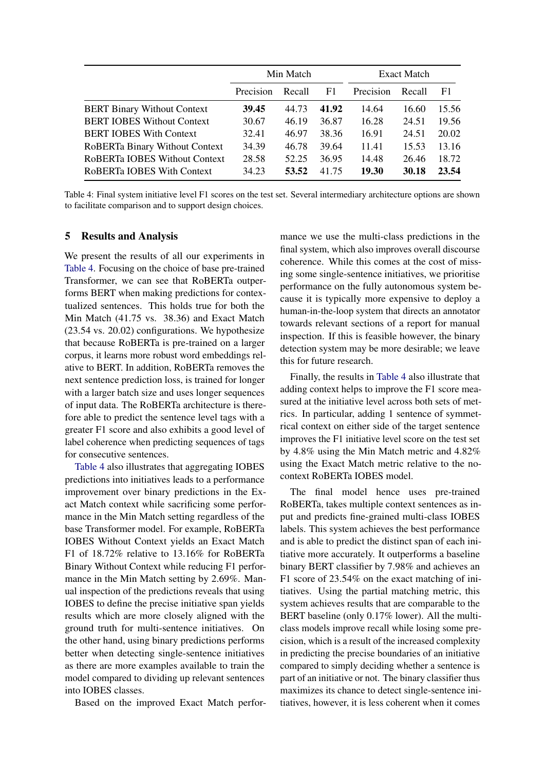<span id="page-6-0"></span>

|                                    | Min Match |        | <b>Exact Match</b> |           |        |       |
|------------------------------------|-----------|--------|--------------------|-----------|--------|-------|
|                                    | Precision | Recall | F1                 | Precision | Recall | F1    |
| <b>BERT Binary Without Context</b> | 39.45     | 44.73  | 41.92              | 14.64     | 16.60  | 15.56 |
| <b>BERT IOBES Without Context</b>  | 30.67     | 46.19  | 36.87              | 16.28     | 24.51  | 19.56 |
| <b>BERT IOBES With Context</b>     | 32.41     | 46.97  | 38.36              | 16.91     | 24.51  | 20.02 |
| RoBERTa Binary Without Context     | 34.39     | 46.78  | 39.64              | 11.41     | 15.53  | 13.16 |
| RoBERTa IOBES Without Context      | 28.58     | 52.25  | 36.95              | 14.48     | 26.46  | 18.72 |
| RoBERTa IOBES With Context         | 34.23     | 53.52  | 41.75              | 19.30     | 30.18  | 23.54 |

Table 4: Final system initiative level F1 scores on the test set. Several intermediary architecture options are shown to facilitate comparison and to support design choices.

#### 5 Results and Analysis

We present the results of all our experiments in [Table 4.](#page-6-0) Focusing on the choice of base pre-trained Transformer, we can see that RoBERTa outperforms BERT when making predictions for contextualized sentences. This holds true for both the Min Match (41.75 vs. 38.36) and Exact Match (23.54 vs. 20.02) configurations. We hypothesize that because RoBERTa is pre-trained on a larger corpus, it learns more robust word embeddings relative to BERT. In addition, RoBERTa removes the next sentence prediction loss, is trained for longer with a larger batch size and uses longer sequences of input data. The RoBERTa architecture is therefore able to predict the sentence level tags with a greater F1 score and also exhibits a good level of label coherence when predicting sequences of tags for consecutive sentences.

[Table 4](#page-6-0) also illustrates that aggregating IOBES predictions into initiatives leads to a performance improvement over binary predictions in the Exact Match context while sacrificing some performance in the Min Match setting regardless of the base Transformer model. For example, RoBERTa IOBES Without Context yields an Exact Match F1 of 18.72% relative to 13.16% for RoBERTa Binary Without Context while reducing F1 performance in the Min Match setting by 2.69%. Manual inspection of the predictions reveals that using IOBES to define the precise initiative span yields results which are more closely aligned with the ground truth for multi-sentence initiatives. On the other hand, using binary predictions performs better when detecting single-sentence initiatives as there are more examples available to train the model compared to dividing up relevant sentences into IOBES classes.

Based on the improved Exact Match perfor-

mance we use the multi-class predictions in the final system, which also improves overall discourse coherence. While this comes at the cost of missing some single-sentence initiatives, we prioritise performance on the fully autonomous system because it is typically more expensive to deploy a human-in-the-loop system that directs an annotator towards relevant sections of a report for manual inspection. If this is feasible however, the binary detection system may be more desirable; we leave this for future research.

Finally, the results in [Table 4](#page-6-0) also illustrate that adding context helps to improve the F1 score measured at the initiative level across both sets of metrics. In particular, adding 1 sentence of symmetrical context on either side of the target sentence improves the F1 initiative level score on the test set by 4.8% using the Min Match metric and 4.82% using the Exact Match metric relative to the nocontext RoBERTa IOBES model.

The final model hence uses pre-trained RoBERTa, takes multiple context sentences as input and predicts fine-grained multi-class IOBES labels. This system achieves the best performance and is able to predict the distinct span of each initiative more accurately. It outperforms a baseline binary BERT classifier by 7.98% and achieves an F1 score of 23.54% on the exact matching of initiatives. Using the partial matching metric, this system achieves results that are comparable to the BERT baseline (only 0.17% lower). All the multiclass models improve recall while losing some precision, which is a result of the increased complexity in predicting the precise boundaries of an initiative compared to simply deciding whether a sentence is part of an initiative or not. The binary classifier thus maximizes its chance to detect single-sentence initiatives, however, it is less coherent when it comes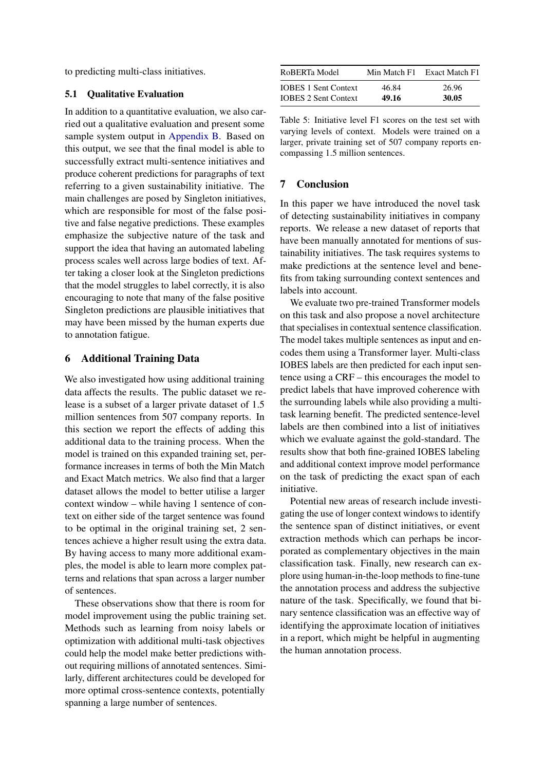to predicting multi-class initiatives.

#### 5.1 Qualitative Evaluation

In addition to a quantitative evaluation, we also carried out a qualitative evaluation and present some sample system output in [Appendix B.](#page-11-0) Based on this output, we see that the final model is able to successfully extract multi-sentence initiatives and produce coherent predictions for paragraphs of text referring to a given sustainability initiative. The main challenges are posed by Singleton initiatives, which are responsible for most of the false positive and false negative predictions. These examples emphasize the subjective nature of the task and support the idea that having an automated labeling process scales well across large bodies of text. After taking a closer look at the Singleton predictions that the model struggles to label correctly, it is also encouraging to note that many of the false positive Singleton predictions are plausible initiatives that may have been missed by the human experts due to annotation fatigue.

# 6 Additional Training Data

We also investigated how using additional training data affects the results. The public dataset we release is a subset of a larger private dataset of 1.5 million sentences from 507 company reports. In this section we report the effects of adding this additional data to the training process. When the model is trained on this expanded training set, performance increases in terms of both the Min Match and Exact Match metrics. We also find that a larger dataset allows the model to better utilise a larger context window – while having 1 sentence of context on either side of the target sentence was found to be optimal in the original training set, 2 sentences achieve a higher result using the extra data. By having access to many more additional examples, the model is able to learn more complex patterns and relations that span across a larger number of sentences.

These observations show that there is room for model improvement using the public training set. Methods such as learning from noisy labels or optimization with additional multi-task objectives could help the model make better predictions without requiring millions of annotated sentences. Similarly, different architectures could be developed for more optimal cross-sentence contexts, potentially spanning a large number of sentences.

| RoBERTa Model               | Min Match F1 | Exact Match F1 |
|-----------------------------|--------------|----------------|
| <b>IOBES 1 Sent Context</b> | 46.84        | 26.96          |
| <b>IOBES 2 Sent Context</b> | 49.16        | 30.05          |

Table 5: Initiative level F1 scores on the test set with varying levels of context. Models were trained on a larger, private training set of 507 company reports encompassing 1.5 million sentences.

## 7 Conclusion

In this paper we have introduced the novel task of detecting sustainability initiatives in company reports. We release a new dataset of reports that have been manually annotated for mentions of sustainability initiatives. The task requires systems to make predictions at the sentence level and benefits from taking surrounding context sentences and labels into account.

We evaluate two pre-trained Transformer models on this task and also propose a novel architecture that specialises in contextual sentence classification. The model takes multiple sentences as input and encodes them using a Transformer layer. Multi-class IOBES labels are then predicted for each input sentence using a CRF – this encourages the model to predict labels that have improved coherence with the surrounding labels while also providing a multitask learning benefit. The predicted sentence-level labels are then combined into a list of initiatives which we evaluate against the gold-standard. The results show that both fine-grained IOBES labeling and additional context improve model performance on the task of predicting the exact span of each initiative.

Potential new areas of research include investigating the use of longer context windows to identify the sentence span of distinct initiatives, or event extraction methods which can perhaps be incorporated as complementary objectives in the main classification task. Finally, new research can explore using human-in-the-loop methods to fine-tune the annotation process and address the subjective nature of the task. Specifically, we found that binary sentence classification was an effective way of identifying the approximate location of initiatives in a report, which might be helpful in augmenting the human annotation process.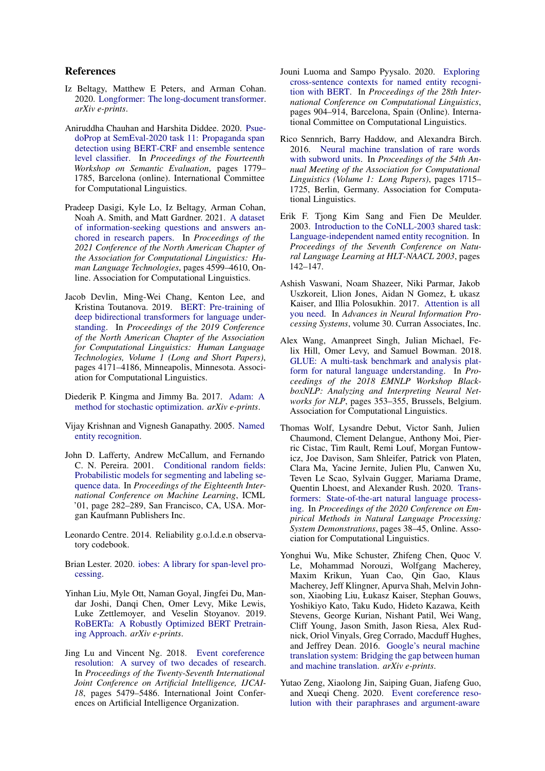#### References

- <span id="page-8-6"></span>Iz Beltagy, Matthew E Peters, and Arman Cohan. 2020. [Longformer: The long-document transformer.](http://arxiv.org/abs/2004.05150) *arXiv e-prints*.
- <span id="page-8-9"></span>Aniruddha Chauhan and Harshita Diddee. 2020. [Psue](https://doi.org/10.18653/v1/2020.semeval-1.233)[doProp at SemEval-2020 task 11: Propaganda span](https://doi.org/10.18653/v1/2020.semeval-1.233) [detection using BERT-CRF and ensemble sentence](https://doi.org/10.18653/v1/2020.semeval-1.233) [level classifier.](https://doi.org/10.18653/v1/2020.semeval-1.233) In *Proceedings of the Fourteenth Workshop on Semantic Evaluation*, pages 1779– 1785, Barcelona (online). International Committee for Computational Linguistics.
- <span id="page-8-7"></span>Pradeep Dasigi, Kyle Lo, Iz Beltagy, Arman Cohan, Noah A. Smith, and Matt Gardner. 2021. [A dataset](https://doi.org/10.18653/v1/2021.naacl-main.365) [of information-seeking questions and answers an](https://doi.org/10.18653/v1/2021.naacl-main.365)[chored in research papers.](https://doi.org/10.18653/v1/2021.naacl-main.365) In *Proceedings of the 2021 Conference of the North American Chapter of the Association for Computational Linguistics: Human Language Technologies*, pages 4599–4610, Online. Association for Computational Linguistics.
- <span id="page-8-3"></span>Jacob Devlin, Ming-Wei Chang, Kenton Lee, and Kristina Toutanova. 2019. [BERT: Pre-training of](https://doi.org/10.18653/v1/N19-1423) [deep bidirectional transformers for language under](https://doi.org/10.18653/v1/N19-1423)[standing.](https://doi.org/10.18653/v1/N19-1423) In *Proceedings of the 2019 Conference of the North American Chapter of the Association for Computational Linguistics: Human Language Technologies, Volume 1 (Long and Short Papers)*, pages 4171–4186, Minneapolis, Minnesota. Association for Computational Linguistics.
- <span id="page-8-18"></span>Diederik P. Kingma and Jimmy Ba. 2017. [Adam: A](http://arxiv.org/abs/1412.6980) [method for stochastic optimization.](http://arxiv.org/abs/1412.6980) *arXiv e-prints*.
- <span id="page-8-10"></span>Vijay Krishnan and Vignesh Ganapathy. 2005. [Named](https://citeseerx.ist.psu.edu/viewdoc/download?doi=10.1.1.142.7693&rep=rep1&type=pdf) [entity recognition.](https://citeseerx.ist.psu.edu/viewdoc/download?doi=10.1.1.142.7693&rep=rep1&type=pdf)
- <span id="page-8-1"></span>John D. Lafferty, Andrew McCallum, and Fernando C. N. Pereira. 2001. [Conditional random fields:](https://repository.upenn.edu/cis_papers/159/) [Probabilistic models for segmenting and labeling se](https://repository.upenn.edu/cis_papers/159/)[quence data.](https://repository.upenn.edu/cis_papers/159/) In *Proceedings of the Eighteenth International Conference on Machine Learning*, ICML '01, page 282–289, San Francisco, CA, USA. Morgan Kaufmann Publishers Inc.
- <span id="page-8-15"></span>Leonardo Centre. 2014. Reliability g.o.l.d.e.n observatory codebook.
- <span id="page-8-11"></span>Brian Lester. 2020. [iobes: A library for span-level pro](http://arxiv.org/abs/2010.04373)[cessing.](http://arxiv.org/abs/2010.04373)
- <span id="page-8-0"></span>Yinhan Liu, Myle Ott, Naman Goyal, Jingfei Du, Mandar Joshi, Danqi Chen, Omer Levy, Mike Lewis, Luke Zettlemoyer, and Veselin Stoyanov. 2019. [RoBERTa: A Robustly Optimized BERT Pretrain](http://arxiv.org/abs/1907.11692)[ing Approach.](http://arxiv.org/abs/1907.11692) *arXiv e-prints*.
- <span id="page-8-13"></span>Jing Lu and Vincent Ng. 2018. [Event coreference](https://doi.org/10.24963/ijcai.2018/773) [resolution: A survey of two decades of research.](https://doi.org/10.24963/ijcai.2018/773) In *Proceedings of the Twenty-Seventh International Joint Conference on Artificial Intelligence, IJCAI-18*, pages 5479–5486. International Joint Conferences on Artificial Intelligence Organization.
- <span id="page-8-8"></span>Jouni Luoma and Sampo Pyysalo. 2020. [Exploring](https://doi.org/10.18653/v1/2020.coling-main.78) [cross-sentence contexts for named entity recogni](https://doi.org/10.18653/v1/2020.coling-main.78)[tion with BERT.](https://doi.org/10.18653/v1/2020.coling-main.78) In *Proceedings of the 28th International Conference on Computational Linguistics*, pages 904–914, Barcelona, Spain (Online). International Committee on Computational Linguistics.
- <span id="page-8-17"></span>Rico Sennrich, Barry Haddow, and Alexandra Birch. 2016. [Neural machine translation of rare words](https://doi.org/10.18653/v1/P16-1162) [with subword units.](https://doi.org/10.18653/v1/P16-1162) In *Proceedings of the 54th Annual Meeting of the Association for Computational Linguistics (Volume 1: Long Papers)*, pages 1715– 1725, Berlin, Germany. Association for Computational Linguistics.
- <span id="page-8-12"></span>Erik F. Tjong Kim Sang and Fien De Meulder. 2003. [Introduction to the CoNLL-2003 shared task:](https://aclanthology.org/W03-0419) [Language-independent named entity recognition.](https://aclanthology.org/W03-0419) In *Proceedings of the Seventh Conference on Natural Language Learning at HLT-NAACL 2003*, pages 142–147.
- <span id="page-8-2"></span>Ashish Vaswani, Noam Shazeer, Niki Parmar, Jakob Uszkoreit, Llion Jones, Aidan N Gomez, Ł ukasz Kaiser, and Illia Polosukhin. 2017. [Attention is all](https://proceedings.neurips.cc/paper/2017/file/3f5ee243547dee91fbd053c1c4a845aa-Paper.pdf) [you need.](https://proceedings.neurips.cc/paper/2017/file/3f5ee243547dee91fbd053c1c4a845aa-Paper.pdf) In *Advances in Neural Information Processing Systems*, volume 30. Curran Associates, Inc.
- <span id="page-8-5"></span>Alex Wang, Amanpreet Singh, Julian Michael, Felix Hill, Omer Levy, and Samuel Bowman. 2018. [GLUE: A multi-task benchmark and analysis plat](https://doi.org/10.18653/v1/W18-5446)[form for natural language understanding.](https://doi.org/10.18653/v1/W18-5446) In *Proceedings of the 2018 EMNLP Workshop BlackboxNLP: Analyzing and Interpreting Neural Networks for NLP*, pages 353–355, Brussels, Belgium. Association for Computational Linguistics.
- <span id="page-8-4"></span>Thomas Wolf, Lysandre Debut, Victor Sanh, Julien Chaumond, Clement Delangue, Anthony Moi, Pierric Cistac, Tim Rault, Remi Louf, Morgan Funtowicz, Joe Davison, Sam Shleifer, Patrick von Platen, Clara Ma, Yacine Jernite, Julien Plu, Canwen Xu, Teven Le Scao, Sylvain Gugger, Mariama Drame, Quentin Lhoest, and Alexander Rush. 2020. [Trans](https://doi.org/10.18653/v1/2020.emnlp-demos.6)[formers: State-of-the-art natural language process](https://doi.org/10.18653/v1/2020.emnlp-demos.6)[ing.](https://doi.org/10.18653/v1/2020.emnlp-demos.6) In *Proceedings of the 2020 Conference on Empirical Methods in Natural Language Processing: System Demonstrations*, pages 38–45, Online. Association for Computational Linguistics.
- <span id="page-8-16"></span>Yonghui Wu, Mike Schuster, Zhifeng Chen, Quoc V. Le, Mohammad Norouzi, Wolfgang Macherey, Maxim Krikun, Yuan Cao, Qin Gao, Klaus Macherey, Jeff Klingner, Apurva Shah, Melvin Johnson, Xiaobing Liu, Łukasz Kaiser, Stephan Gouws, Yoshikiyo Kato, Taku Kudo, Hideto Kazawa, Keith Stevens, George Kurian, Nishant Patil, Wei Wang, Cliff Young, Jason Smith, Jason Riesa, Alex Rudnick, Oriol Vinyals, Greg Corrado, Macduff Hughes, and Jeffrey Dean. 2016. [Google's neural machine](http://arxiv.org/abs/1609.08144) [translation system: Bridging the gap between human](http://arxiv.org/abs/1609.08144) [and machine translation.](http://arxiv.org/abs/1609.08144) *arXiv e-prints*.
- <span id="page-8-14"></span>Yutao Zeng, Xiaolong Jin, Saiping Guan, Jiafeng Guo, and Xueqi Cheng. 2020. [Event coreference reso](https://doi.org/10.18653/v1/2020.coling-main.275)[lution with their paraphrases and argument-aware](https://doi.org/10.18653/v1/2020.coling-main.275)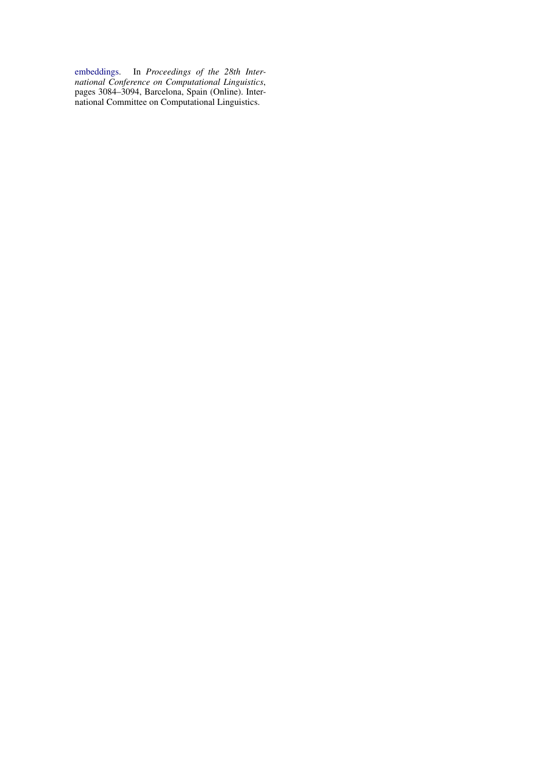[embeddings.](https://doi.org/10.18653/v1/2020.coling-main.275) In *Proceedings of the 28th International Conference on Computational Linguistics*, pages 3084–3094, Barcelona, Spain (Online). International Committee on Computational Linguistics.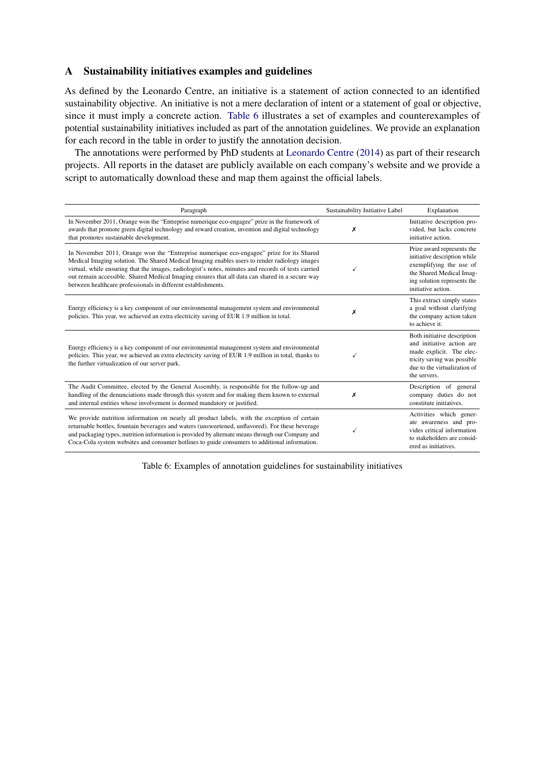# <span id="page-10-0"></span>A Sustainability initiatives examples and guidelines

As defined by the Leonardo Centre, an initiative is a statement of action connected to an identified sustainability objective. An initiative is not a mere declaration of intent or a statement of goal or objective, since it must imply a concrete action. [Table 6](#page-10-1) illustrates a set of examples and counterexamples of potential sustainability initiatives included as part of the annotation guidelines. We provide an explanation for each record in the table in order to justify the annotation decision.

The annotations were performed by PhD students at [Leonardo Centre](#page-8-15) [\(2014\)](#page-8-15) as part of their research projects. All reports in the dataset are publicly available on each company's website and we provide a script to automatically download these and map them against the official labels.

<span id="page-10-1"></span>

| Paragraph                                                                                                                                                                                                                                                                                                                                                                                                                                                          | Sustainability Initiative Label | Explanation                                                                                                                                                            |
|--------------------------------------------------------------------------------------------------------------------------------------------------------------------------------------------------------------------------------------------------------------------------------------------------------------------------------------------------------------------------------------------------------------------------------------------------------------------|---------------------------------|------------------------------------------------------------------------------------------------------------------------------------------------------------------------|
| In November 2011, Orange won the "Entreprise numerique eco-engagee" prize in the framework of<br>awards that promote green digital technology and reward creation, invention and digital technology<br>that promotes sustainable development.                                                                                                                                                                                                                      | Х                               | Initiative description pro-<br>vided, but lacks concrete<br>initiative action.                                                                                         |
| In November 2011, Orange won the "Entreprise numerique eco-engagee" prize for its Shared<br>Medical Imaging solution. The Shared Medical Imaging enables users to render radiology images<br>virtual, while ensuring that the images, radiologist's notes, minutes and records of tests carried<br>out remain accessible. Shared Medical Imaging ensures that all data can shared in a secure way<br>between healthcare professionals in different establishments. |                                 | Prize award represents the<br>initiative description while<br>exemplifying the use of<br>the Shared Medical Imag-<br>ing solution represents the<br>initiative action. |
| Energy efficiency is a key component of our environmental management system and environmental<br>policies. This year, we achieved an extra electricity saving of EUR 1.9 million in total.                                                                                                                                                                                                                                                                         | х                               | This extract simply states<br>a goal without clarifying<br>the company action taken<br>to achieve it.                                                                  |
| Energy efficiency is a key component of our environmental management system and environmental<br>policies. This year, we achieved an extra electricity saving of EUR 1.9 million in total, thanks to<br>the further virtualization of our server park.                                                                                                                                                                                                             | ✓                               | Both initiative description<br>and initiative action are<br>made explicit. The elec-<br>tricity saving was possible<br>due to the virtualization of<br>the servers.    |
| The Audit Committee, elected by the General Assembly, is responsible for the follow-up and<br>handling of the denunciations made through this system and for making them known to external<br>and internal entities whose involvement is deemed mandatory or justified.                                                                                                                                                                                            | Х                               | Description of general<br>company duties do not<br>constitute initiatives.                                                                                             |
| We provide nutrition information on nearly all product labels, with the exception of certain<br>returnable bottles, fountain beverages and waters (unsweetened, unflavored). For these beverage<br>and packaging types, nutrition information is provided by alternate means through our Company and<br>Coca-Cola system websites and consumer hotlines to guide consumers to additional information.                                                              |                                 | Activities which gener-<br>ate awareness and pro-<br>vides critical information<br>to stakeholders are consid-<br>ered as initiatives.                                 |

Table 6: Examples of annotation guidelines for sustainability initiatives